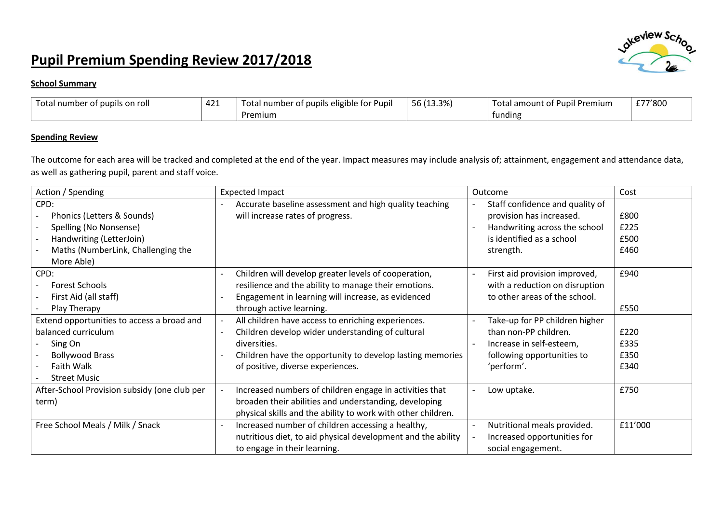## **Pupil Premium Spending Review 2017/2018**



## **School Summary**

| Total number of pupils on roll | 42 <sup>4</sup><br>ᅲᄼᅩ | . .<br>eligible for Pupii<br>⊺otal<br>' number of pupils eli | 56 (13.3%) | l amount of Pupil Premium<br>Totai | £77'800 |
|--------------------------------|------------------------|--------------------------------------------------------------|------------|------------------------------------|---------|
|                                |                        | Premium                                                      |            | tundin,                            |         |

## **Spending Review**

The outcome for each area will be tracked and completed at the end of the year. Impact measures may include analysis of; attainment, engagement and attendance data, as well as gathering pupil, parent and staff voice.

| Action / Spending                            | <b>Expected Impact</b>                                       | Outcome                         | Cost    |
|----------------------------------------------|--------------------------------------------------------------|---------------------------------|---------|
| CPD:                                         | Accurate baseline assessment and high quality teaching       | Staff confidence and quality of |         |
| Phonics (Letters & Sounds)                   | will increase rates of progress.                             | provision has increased.        | £800    |
| Spelling (No Nonsense)                       |                                                              | Handwriting across the school   | £225    |
| Handwriting (LetterJoin)                     |                                                              | is identified as a school       | £500    |
| Maths (NumberLink, Challenging the           |                                                              | strength.                       | £460    |
| More Able)                                   |                                                              |                                 |         |
| CPD:                                         | Children will develop greater levels of cooperation,         | First aid provision improved,   | £940    |
| <b>Forest Schools</b>                        | resilience and the ability to manage their emotions.         | with a reduction on disruption  |         |
| First Aid (all staff)                        | Engagement in learning will increase, as evidenced           | to other areas of the school.   |         |
| Play Therapy                                 | through active learning.                                     |                                 | £550    |
| Extend opportunities to access a broad and   | All children have access to enriching experiences.           | Take-up for PP children higher  |         |
| balanced curriculum                          | Children develop wider understanding of cultural             | than non-PP children.           | £220    |
| Sing On                                      | diversities.                                                 | Increase in self-esteem,        | £335    |
| <b>Bollywood Brass</b>                       | Children have the opportunity to develop lasting memories    | following opportunities to      | £350    |
| Faith Walk                                   | of positive, diverse experiences.                            | 'perform'.                      | £340    |
| <b>Street Music</b>                          |                                                              |                                 |         |
| After-School Provision subsidy (one club per | Increased numbers of children engage in activities that      | Low uptake.                     | £750    |
| term)                                        | broaden their abilities and understanding, developing        |                                 |         |
|                                              | physical skills and the ability to work with other children. |                                 |         |
| Free School Meals / Milk / Snack             | Increased number of children accessing a healthy,            | Nutritional meals provided.     | £11'000 |
|                                              | nutritious diet, to aid physical development and the ability | Increased opportunities for     |         |
|                                              | to engage in their learning.                                 | social engagement.              |         |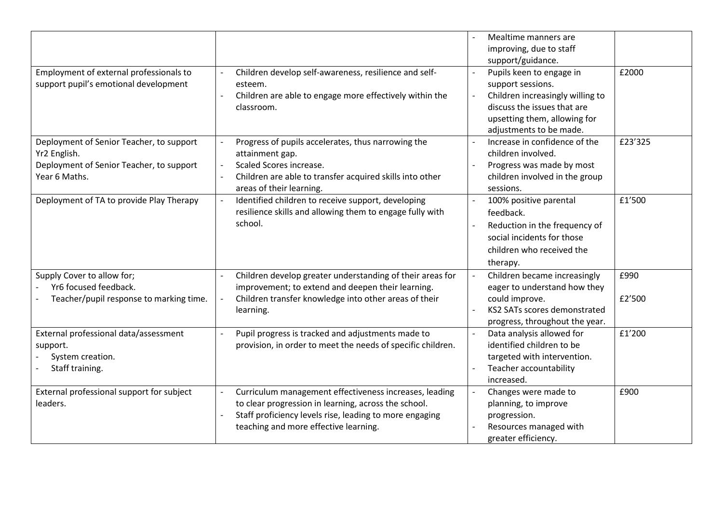|                                                                                                                       |                                                                                                                                                                                                                    | Mealtime manners are                                                                                                                                               |                |
|-----------------------------------------------------------------------------------------------------------------------|--------------------------------------------------------------------------------------------------------------------------------------------------------------------------------------------------------------------|--------------------------------------------------------------------------------------------------------------------------------------------------------------------|----------------|
|                                                                                                                       |                                                                                                                                                                                                                    | improving, due to staff                                                                                                                                            |                |
|                                                                                                                       |                                                                                                                                                                                                                    | support/guidance.                                                                                                                                                  |                |
| Employment of external professionals to<br>support pupil's emotional development                                      | Children develop self-awareness, resilience and self-<br>esteem.                                                                                                                                                   | Pupils keen to engage in<br>$\blacksquare$<br>support sessions.<br>Children increasingly willing to                                                                | £2000          |
|                                                                                                                       | Children are able to engage more effectively within the<br>classroom.                                                                                                                                              | $\blacksquare$<br>discuss the issues that are<br>upsetting them, allowing for<br>adjustments to be made.                                                           |                |
| Deployment of Senior Teacher, to support<br>Yr2 English.<br>Deployment of Senior Teacher, to support<br>Year 6 Maths. | Progress of pupils accelerates, thus narrowing the<br>attainment gap.<br>Scaled Scores increase.<br>Children are able to transfer acquired skills into other<br>areas of their learning.                           | Increase in confidence of the<br>children involved.<br>Progress was made by most<br>children involved in the group<br>sessions.                                    | £23'325        |
| Deployment of TA to provide Play Therapy                                                                              | Identified children to receive support, developing<br>resilience skills and allowing them to engage fully with<br>school.                                                                                          | 100% positive parental<br>feedback.<br>Reduction in the frequency of<br>social incidents for those<br>children who received the<br>therapy.                        | £1'500         |
| Supply Cover to allow for;<br>Yr6 focused feedback.<br>Teacher/pupil response to marking time.                        | Children develop greater understanding of their areas for<br>improvement; to extend and deepen their learning.<br>Children transfer knowledge into other areas of their<br>learning.                               | Children became increasingly<br>$\blacksquare$<br>eager to understand how they<br>could improve.<br>KS2 SATs scores demonstrated<br>progress, throughout the year. | £990<br>£2'500 |
| External professional data/assessment<br>support.<br>System creation.<br>Staff training.                              | Pupil progress is tracked and adjustments made to<br>provision, in order to meet the needs of specific children.                                                                                                   | Data analysis allowed for<br>$\mathbb{L}$<br>identified children to be<br>targeted with intervention.<br>Teacher accountability<br>increased.                      | £1'200         |
| External professional support for subject<br>leaders.                                                                 | Curriculum management effectiveness increases, leading<br>to clear progression in learning, across the school.<br>Staff proficiency levels rise, leading to more engaging<br>teaching and more effective learning. | Changes were made to<br>$\blacksquare$<br>planning, to improve<br>progression.<br>Resources managed with<br>greater efficiency.                                    | £900           |